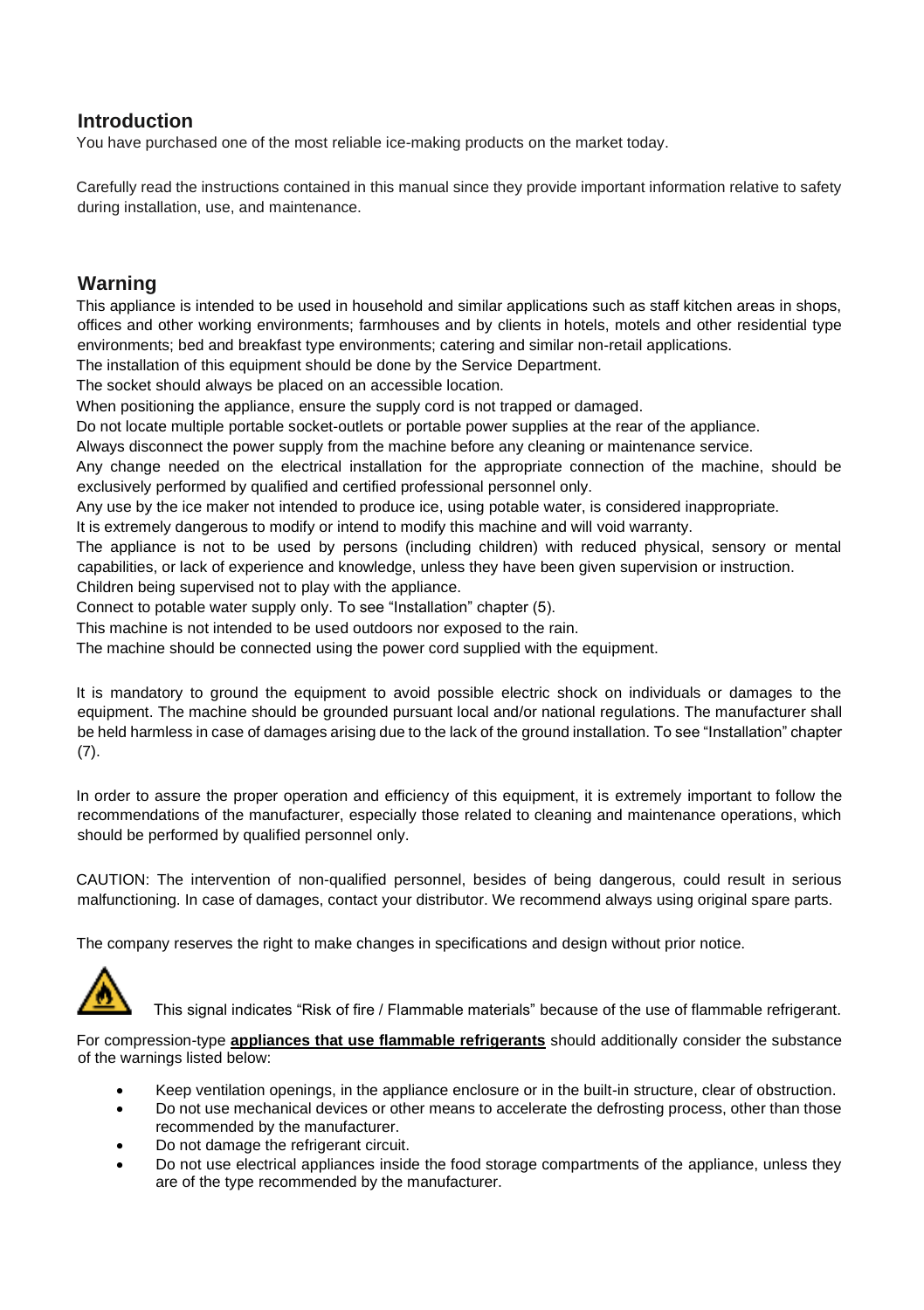# **Introduction**

You have purchased one of the most reliable ice-making products on the market today.

Carefully read the instructions contained in this manual since they provide important information relative to safety during installation, use, and maintenance.

# **Warning**

This appliance is intended to be used in household and similar applications such as staff kitchen areas in shops, offices and other working environments; farmhouses and by clients in hotels, motels and other residential type environments; bed and breakfast type environments; catering and similar non-retail applications.

The installation of this equipment should be done by the Service Department.

The socket should always be placed on an accessible location.

When positioning the appliance, ensure the supply cord is not trapped or damaged.

Do not locate multiple portable socket-outlets or portable power supplies at the rear of the appliance.

Always disconnect the power supply from the machine before any cleaning or maintenance service.

Any change needed on the electrical installation for the appropriate connection of the machine, should be exclusively performed by qualified and certified professional personnel only.

Any use by the ice maker not intended to produce ice, using potable water, is considered inappropriate.

It is extremely dangerous to modify or intend to modify this machine and will void warranty.

The appliance is not to be used by persons (including children) with reduced physical, sensory or mental capabilities, or lack of experience and knowledge, unless they have been given supervision or instruction. Children being supervised not to play with the appliance.

Connect to potable water supply only. To see "Installation" chapter (5).

This machine is not intended to be used outdoors nor exposed to the rain.

The machine should be connected using the power cord supplied with the equipment.

It is mandatory to ground the equipment to avoid possible electric shock on individuals or damages to the equipment. The machine should be grounded pursuant local and/or national regulations. The manufacturer shall be held harmless in case of damages arising due to the lack of the ground installation. To see "Installation" chapter  $(7)$ .

In order to assure the proper operation and efficiency of this equipment, it is extremely important to follow the recommendations of the manufacturer, especially those related to cleaning and maintenance operations, which should be performed by qualified personnel only.

CAUTION: The intervention of non-qualified personnel, besides of being dangerous, could result in serious malfunctioning. In case of damages, contact your distributor. We recommend always using original spare parts.

The company reserves the right to make changes in specifications and design without prior notice.



This signal indicates "Risk of fire / Flammable materials" because of the use of flammable refrigerant.

For compression-type **appliances that use flammable refrigerants** should additionally consider the substance of the warnings listed below:

- Keep ventilation openings, in the appliance enclosure or in the built-in structure, clear of obstruction.
- Do not use mechanical devices or other means to accelerate the defrosting process, other than those recommended by the manufacturer.
- Do not damage the refrigerant circuit.
- Do not use electrical appliances inside the food storage compartments of the appliance, unless they are of the type recommended by the manufacturer.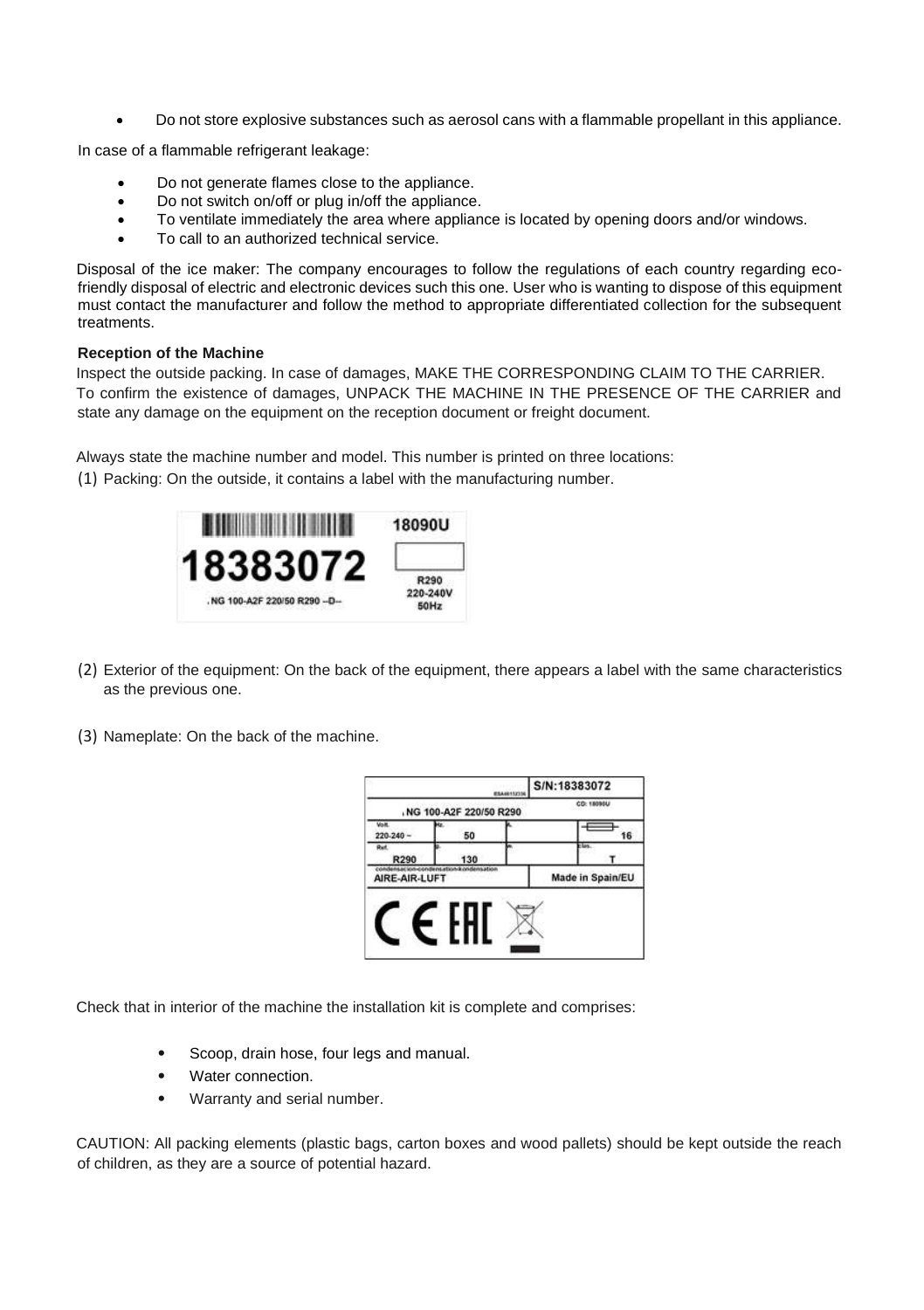• Do not store explosive substances such as aerosol cans with a flammable propellant in this appliance.

In case of a flammable refrigerant leakage:

- Do not generate flames close to the appliance.
- Do not switch on/off or plug in/off the appliance.
- To ventilate immediately the area where appliance is located by opening doors and/or windows.
- To call to an authorized technical service.

Disposal of the ice maker: The company encourages to follow the regulations of each country regarding ecofriendly disposal of electric and electronic devices such this one. User who is wanting to dispose of this equipment must contact the manufacturer and follow the method to appropriate differentiated collection for the subsequent treatments.

#### **Reception of the Machine**

Inspect the outside packing. In case of damages, MAKE THE CORRESPONDING CLAIM TO THE CARRIER. To confirm the existence of damages, UNPACK THE MACHINE IN THE PRESENCE OF THE CARRIER and state any damage on the equipment on the reception document or freight document.

Always state the machine number and model. This number is printed on three locations:

(1) Packing: On the outside, it contains a label with the manufacturing number.



- (2) Exterior of the equipment: On the back of the equipment, there appears a label with the same characteristics as the previous one.
- (3) Nameplate: On the back of the machine.

|                                                          |                        | <b>ESA46152336</b> | S/N:18383072     |  |
|----------------------------------------------------------|------------------------|--------------------|------------------|--|
|                                                          | NG 100-A2F 220/50 R290 |                    | CD: 18090U       |  |
| <b>Volt</b><br>$220 - 240 -$                             | 50                     |                    | 16               |  |
| R290                                                     | 130                    |                    |                  |  |
| condensacion-bondensational ondensation<br>AIRE-AIR-LUFT |                        |                    | Made in Spain/EU |  |
|                                                          |                        |                    |                  |  |

Check that in interior of the machine the installation kit is complete and comprises:

- Scoop, drain hose, four legs and manual.
- Water connection
- Warranty and serial number.

CAUTION: All packing elements (plastic bags, carton boxes and wood pallets) should be kept outside the reach of children, as they are a source of potential hazard.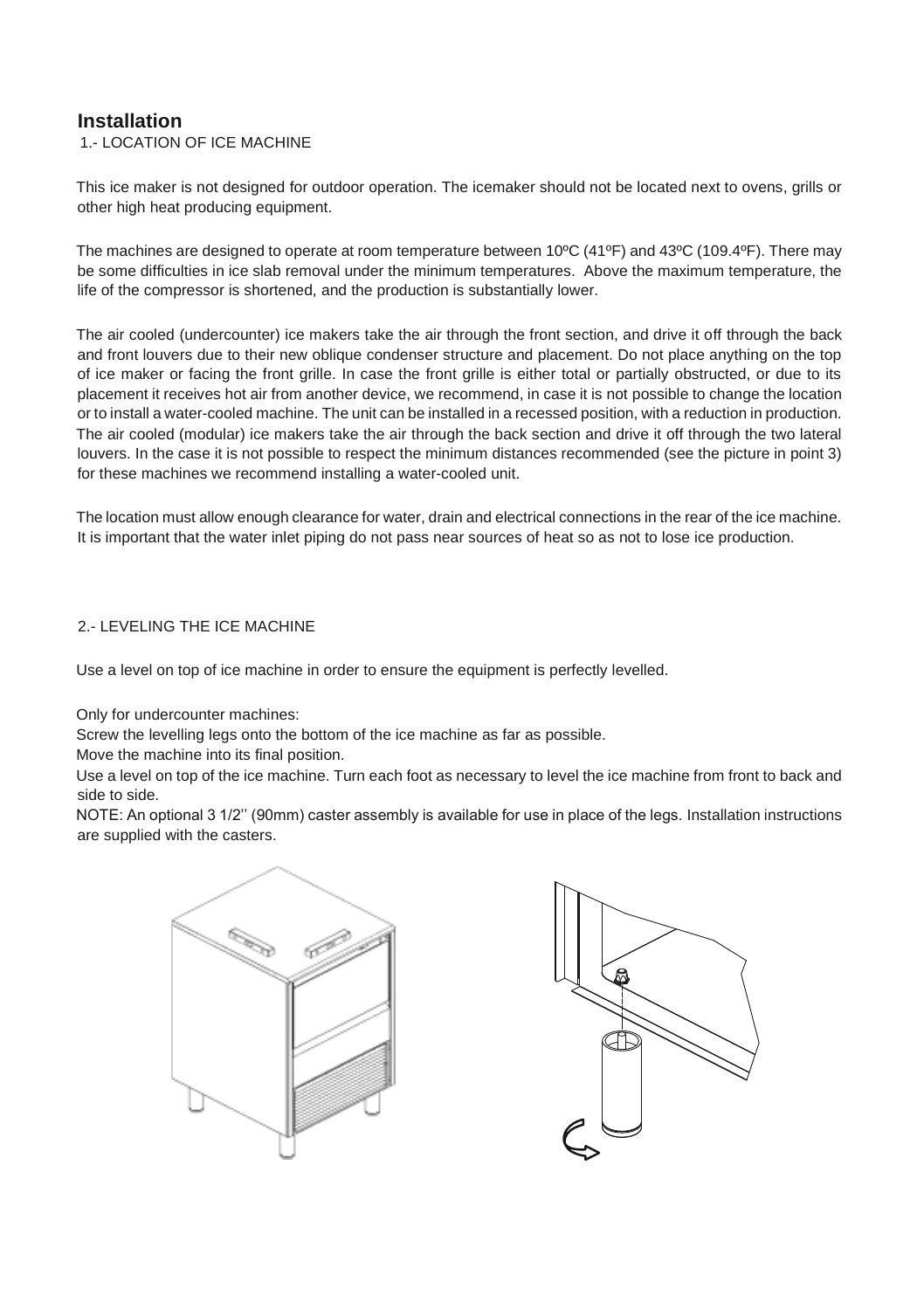# **Installation**

1.- LOCATION OF ICE MACHINE

This ice maker is not designed for outdoor operation. The icemaker should not be located next to ovens, grills or other high heat producing equipment.

The machines are designed to operate at room temperature between 10ºC (41ºF) and 43ºC (109.4ºF). There may be some difficulties in ice slab removal under the minimum temperatures. Above the maximum temperature, the life of the compressor is shortened, and the production is substantially lower.

The air cooled (undercounter) ice makers take the air through the front section, and drive it off through the back and front louvers due to their new oblique condenser structure and placement. Do not place anything on the top of ice maker or facing the front grille. In case the front grille is either total or partially obstructed, or due to its placement it receives hot air from another device, we recommend, in case it is not possible to change the location or to install a water-cooled machine. The unit can be installed in a recessed position, with a reduction in production. The air cooled (modular) ice makers take the air through the back section and drive it off through the two lateral louvers. In the case it is not possible to respect the minimum distances recommended (see the picture in point 3) for these machines we recommend installing a water-cooled unit.

The location must allow enough clearance for water, drain and electrical connections in the rear of the ice machine. It is important that the water inlet piping do not pass near sources of heat so as not to lose ice production.

### 2.- LEVELING THE ICE MACHINE

Use a level on top of ice machine in order to ensure the equipment is perfectly levelled.

Only for undercounter machines:

Screw the levelling legs onto the bottom of the ice machine as far as possible.

Move the machine into its final position.

Use a level on top of the ice machine. Turn each foot as necessary to level the ice machine from front to back and side to side.

NOTE: An optional 3 1/2'' (90mm) caster assembly is available for use in place of the legs. Installation instructions are supplied with the casters.



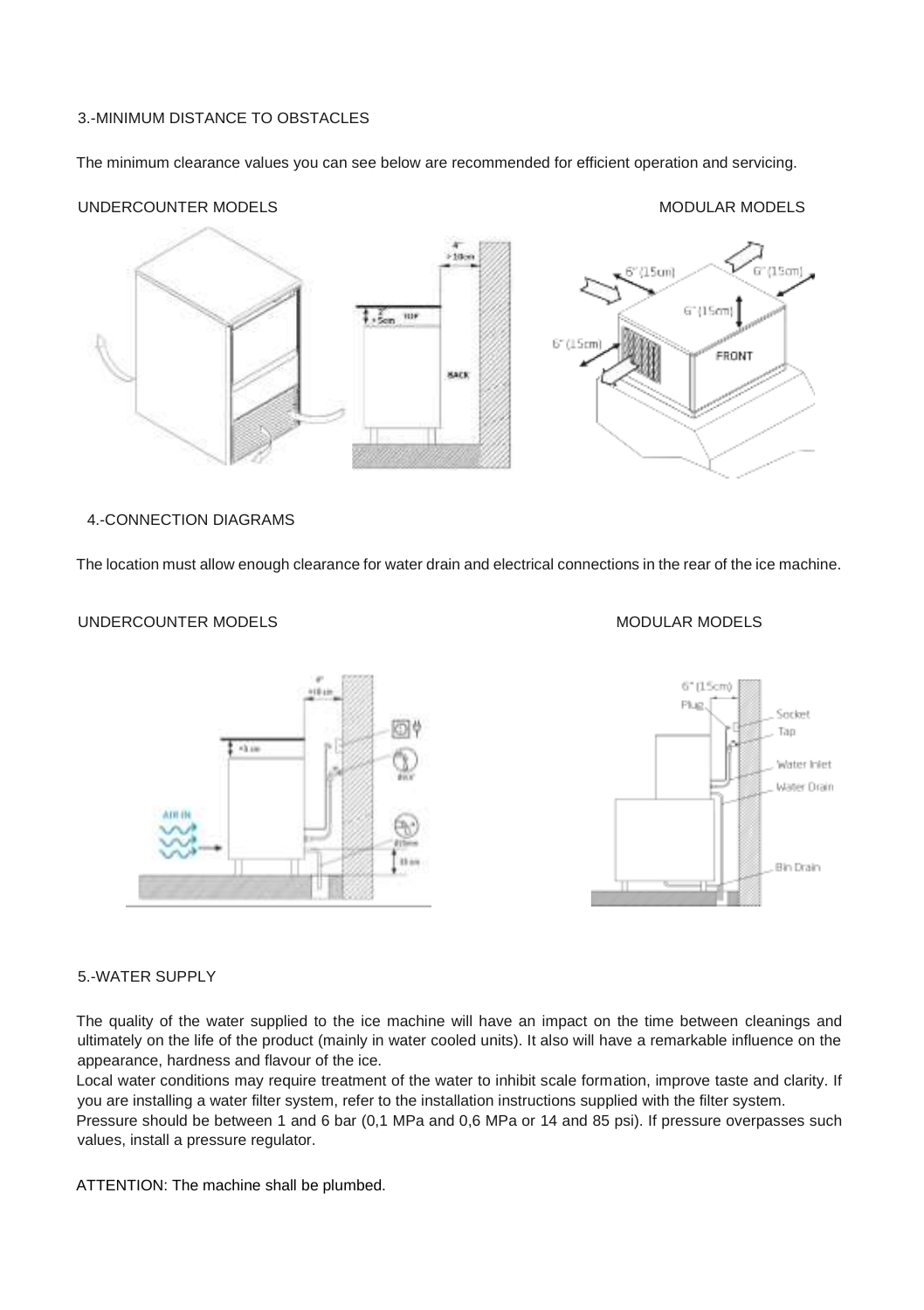## 3.-MINIMUM DISTANCE TO OBSTACLES

The minimum clearance values you can see below are recommended for efficient operation and servicing.

#### UNDERCOUNTER MODELS AND THE SERVICE OF STATE SERVICES AND MODULAR MODELS



4.-CONNECTION DIAGRAMS

The location must allow enough clearance for water drain and electrical connections in the rear of the ice machine.

## UNDERCOUNTER MODELS AND ALL AND A MODELS MODELS MODELS





#### 5.-WATER SUPPLY

The quality of the water supplied to the ice machine will have an impact on the time between cleanings and ultimately on the life of the product (mainly in water cooled units). It also will have a remarkable influence on the appearance, hardness and flavour of the ice.

Local water conditions may require treatment of the water to inhibit scale formation, improve taste and clarity. If you are installing a water filter system, refer to the installation instructions supplied with the filter system.

Pressure should be between 1 and 6 bar (0,1 MPa and 0,6 MPa or 14 and 85 psi). If pressure overpasses such values, install a pressure regulator.

ATTENTION: The machine shall be plumbed.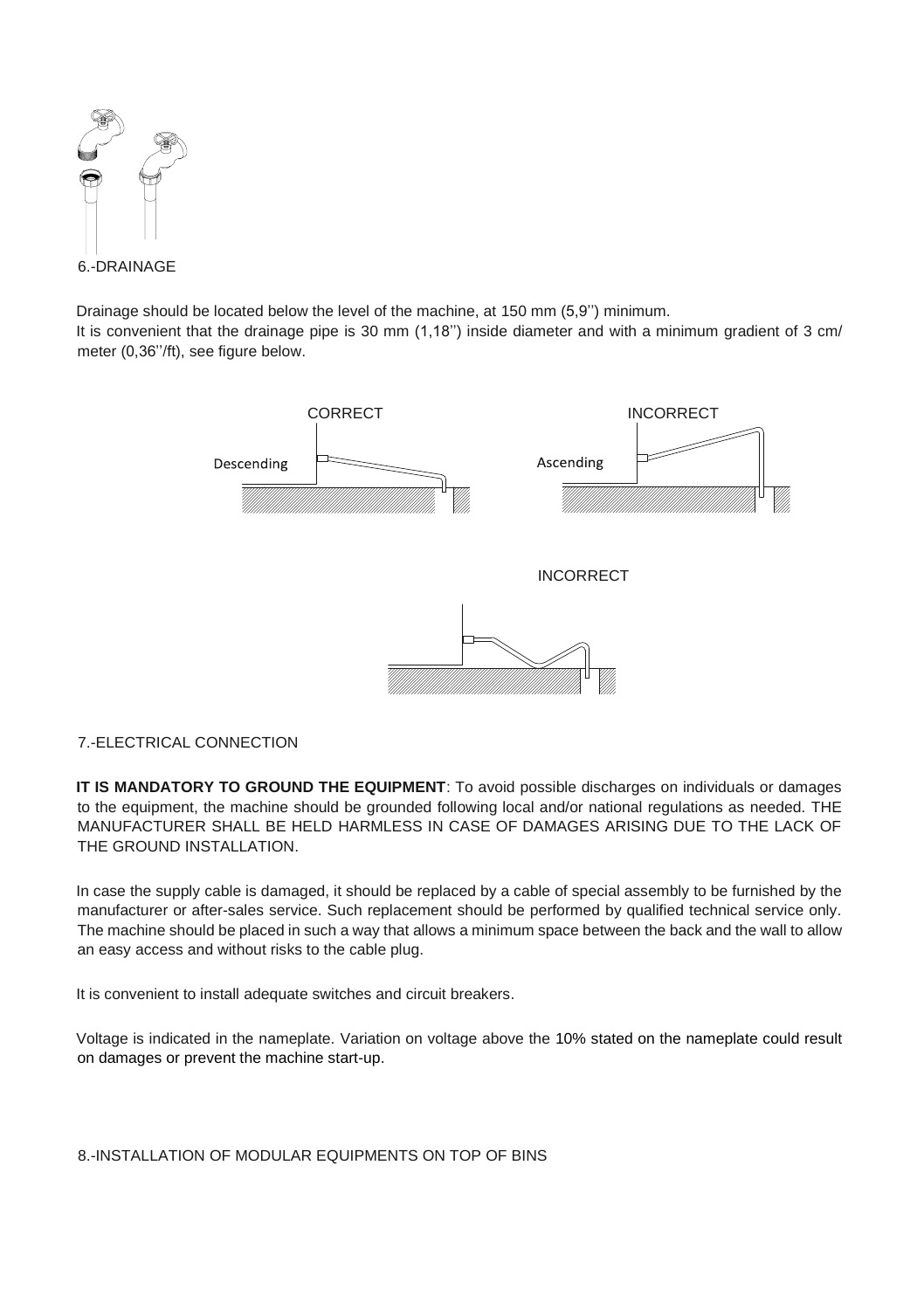

Drainage should be located below the level of the machine, at 150 mm (5,9'') minimum.

It is convenient that the drainage pipe is 30 mm (1,18") inside diameter and with a minimum gradient of 3 cm/ meter (0,36''/ft), see figure below.



# 7.-ELECTRICAL CONNECTION

**IT IS MANDATORY TO GROUND THE EQUIPMENT**: To avoid possible discharges on individuals or damages to the equipment, the machine should be grounded following local and/or national regulations as needed. THE MANUFACTURER SHALL BE HELD HARMLESS IN CASE OF DAMAGES ARISING DUE TO THE LACK OF THE GROUND INSTALLATION.

In case the supply cable is damaged, it should be replaced by a cable of special assembly to be furnished by the manufacturer or after-sales service. Such replacement should be performed by qualified technical service only. The machine should be placed in such a way that allows a minimum space between the back and the wall to allow an easy access and without risks to the cable plug.

It is convenient to install adequate switches and circuit breakers.

Voltage is indicated in the nameplate. Variation on voltage above the 10% stated on the nameplate could result on damages or prevent the machine start-up.

8.-INSTALLATION OF MODULAR EQUIPMENTS ON TOP OF BINS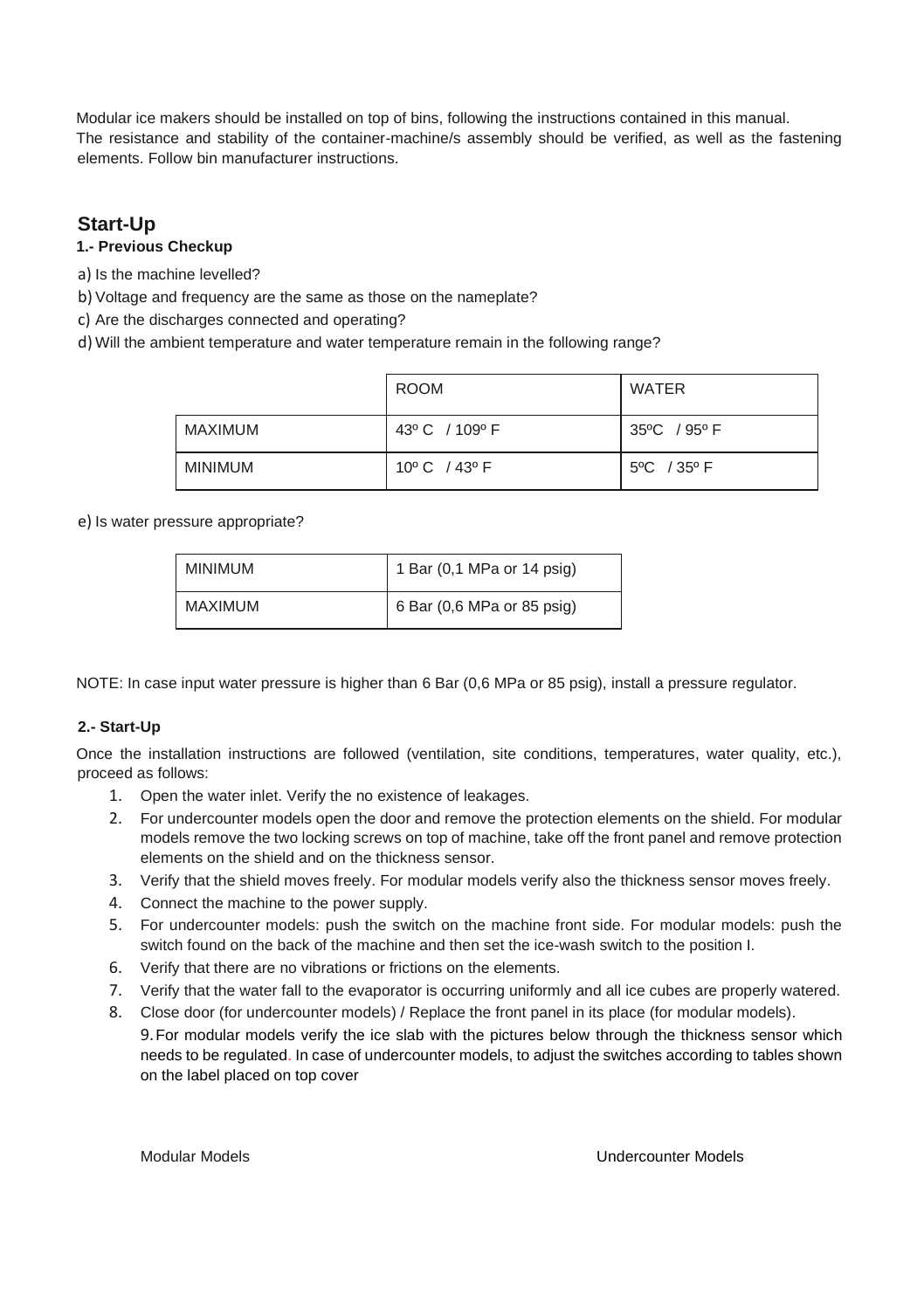Modular ice makers should be installed on top of bins, following the instructions contained in this manual. The resistance and stability of the container-machine/s assembly should be verified, as well as the fastening elements. Follow bin manufacturer instructions.

# **Start-Up**

# **1.- Previous Checkup**

- a) Is the machine levelled?
- b) Voltage and frequency are the same as those on the nameplate?
- c) Are the discharges connected and operating?
- d) Will the ambient temperature and water temperature remain in the following range?

|                | ROOM                           | WATER       |
|----------------|--------------------------------|-------------|
| MAXIMUM        | 43° C / 109° F                 | 35°C / 95°F |
| <b>MINIMUM</b> | $10^{\circ}$ C $/43^{\circ}$ F | 5°C / 35°F  |

e) Is water pressure appropriate?

| <b>MINIMUM</b> | 1 Bar (0,1 MPa or 14 psig) |
|----------------|----------------------------|
| <b>MAXIMUM</b> | 6 Bar (0,6 MPa or 85 psig) |

NOTE: In case input water pressure is higher than 6 Bar (0,6 MPa or 85 psig), install a pressure regulator.

## **2.- Start-Up**

Once the installation instructions are followed (ventilation, site conditions, temperatures, water quality, etc.), proceed as follows:

- 1. Open the water inlet. Verify the no existence of leakages.
- 2. For undercounter models open the door and remove the protection elements on the shield. For modular models remove the two locking screws on top of machine, take off the front panel and remove protection elements on the shield and on the thickness sensor.
- 3. Verify that the shield moves freely. For modular models verify also the thickness sensor moves freely.
- 4. Connect the machine to the power supply.
- 5. For undercounter models: push the switch on the machine front side. For modular models: push the switch found on the back of the machine and then set the ice-wash switch to the position I.
- 6. Verify that there are no vibrations or frictions on the elements.
- 7. Verify that the water fall to the evaporator is occurring uniformly and all ice cubes are properly watered.
- 8. Close door (for undercounter models) / Replace the front panel in its place (for modular models).
	- 9.For modular models verify the ice slab with the pictures below through the thickness sensor which needs to be regulated. In case of undercounter models, to adjust the switches according to tables shown on the label placed on top cover

Modular Models Undercounter Models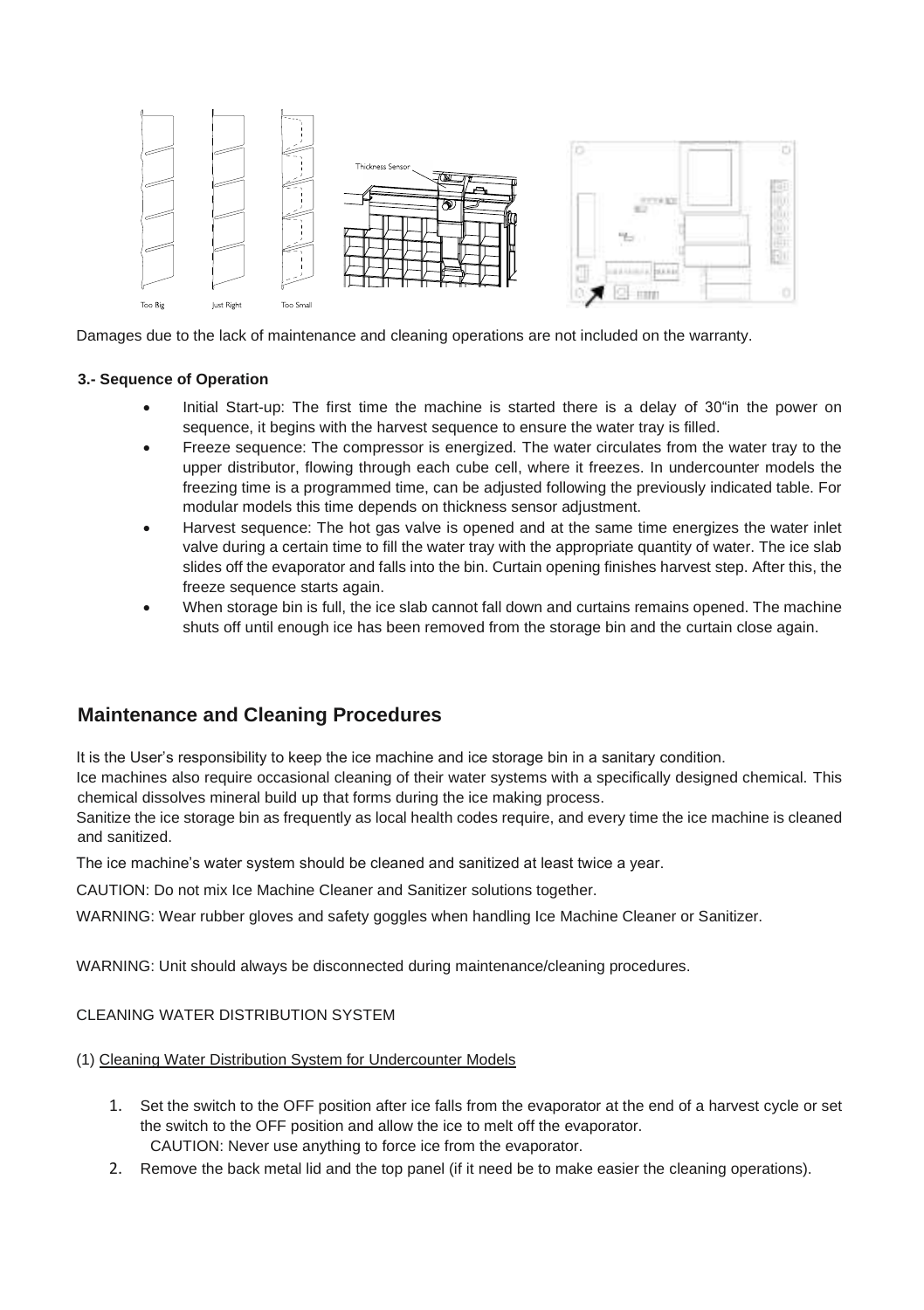

Damages due to the lack of maintenance and cleaning operations are not included on the warranty.

### **3.- Sequence of Operation**

- Initial Start-up: The first time the machine is started there is a delay of 30"in the power on sequence, it begins with the harvest sequence to ensure the water tray is filled.
- Freeze sequence: The compressor is energized. The water circulates from the water tray to the upper distributor, flowing through each cube cell, where it freezes. In undercounter models the freezing time is a programmed time, can be adjusted following the previously indicated table. For modular models this time depends on thickness sensor adjustment.
- Harvest sequence: The hot gas valve is opened and at the same time energizes the water inlet valve during a certain time to fill the water tray with the appropriate quantity of water. The ice slab slides off the evaporator and falls into the bin. Curtain opening finishes harvest step. After this, the freeze sequence starts again.
- When storage bin is full, the ice slab cannot fall down and curtains remains opened. The machine shuts off until enough ice has been removed from the storage bin and the curtain close again.

# **Maintenance and Cleaning Procedures**

It is the User's responsibility to keep the ice machine and ice storage bin in a sanitary condition.

Ice machines also require occasional cleaning of their water systems with a specifically designed chemical. This chemical dissolves mineral build up that forms during the ice making process.

Sanitize the ice storage bin as frequently as local health codes require, and every time the ice machine is cleaned and sanitized.

The ice machine's water system should be cleaned and sanitized at least twice a year.

CAUTION: Do not mix Ice Machine Cleaner and Sanitizer solutions together.

WARNING: Wear rubber gloves and safety goggles when handling Ice Machine Cleaner or Sanitizer.

WARNING: Unit should always be disconnected during maintenance/cleaning procedures.

## CLEANING WATER DISTRIBUTION SYSTEM

(1) Cleaning Water Distribution System for Undercounter Models

- 1. Set the switch to the OFF position after ice falls from the evaporator at the end of a harvest cycle or set the switch to the OFF position and allow the ice to melt off the evaporator. CAUTION: Never use anything to force ice from the evaporator.
- 2. Remove the back metal lid and the top panel (if it need be to make easier the cleaning operations).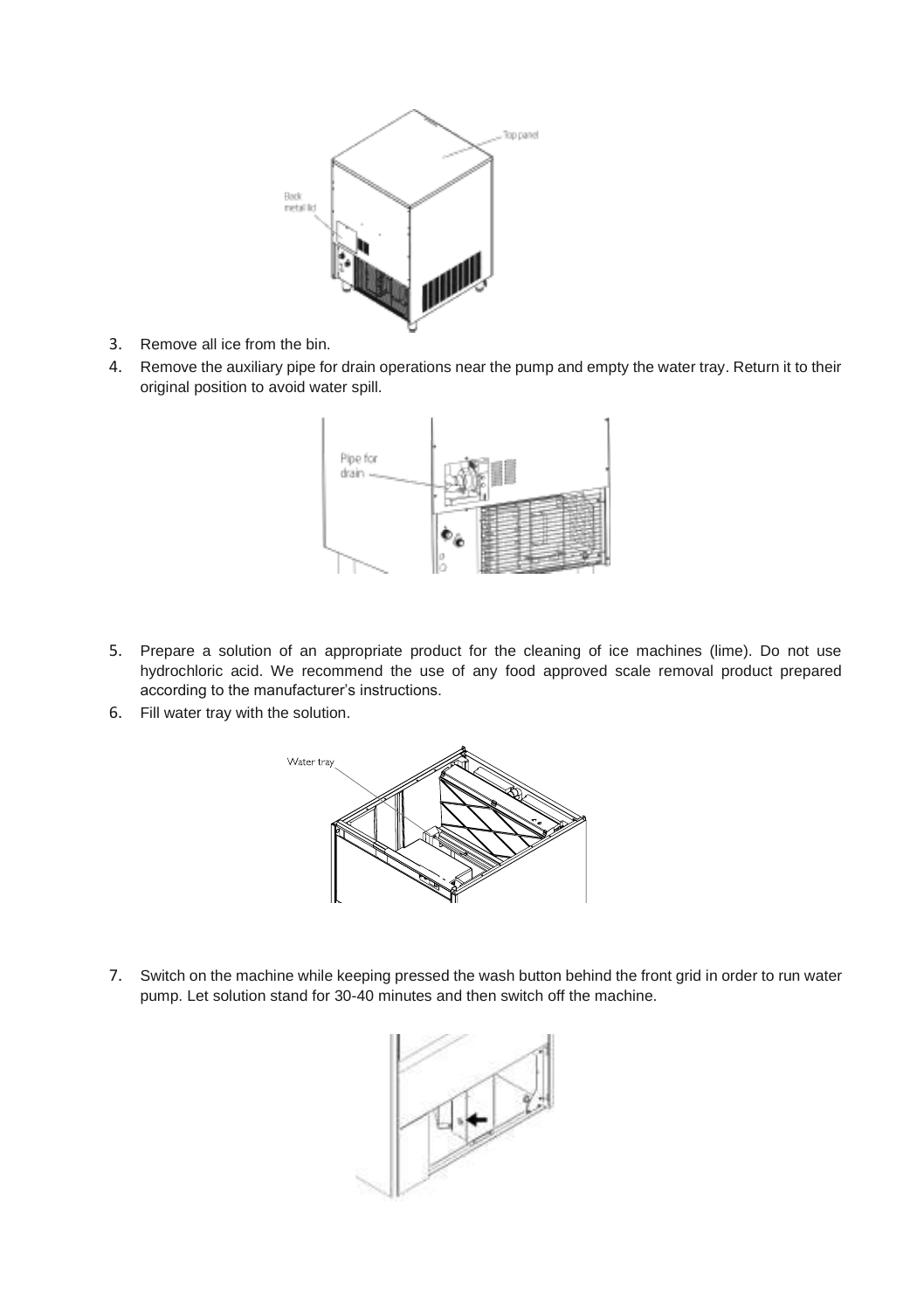

- 3. Remove all ice from the bin.
- 4. Remove the auxiliary pipe for drain operations near the pump and empty the water tray. Return it to their original position to avoid water spill.



- 5. Prepare a solution of an appropriate product for the cleaning of ice machines (lime). Do not use hydrochloric acid. We recommend the use of any food approved scale removal product prepared according to the manufacturer's instructions.
- 6. Fill water tray with the solution.



7. Switch on the machine while keeping pressed the wash button behind the front grid in order to run water pump. Let solution stand for 30-40 minutes and then switch off the machine.

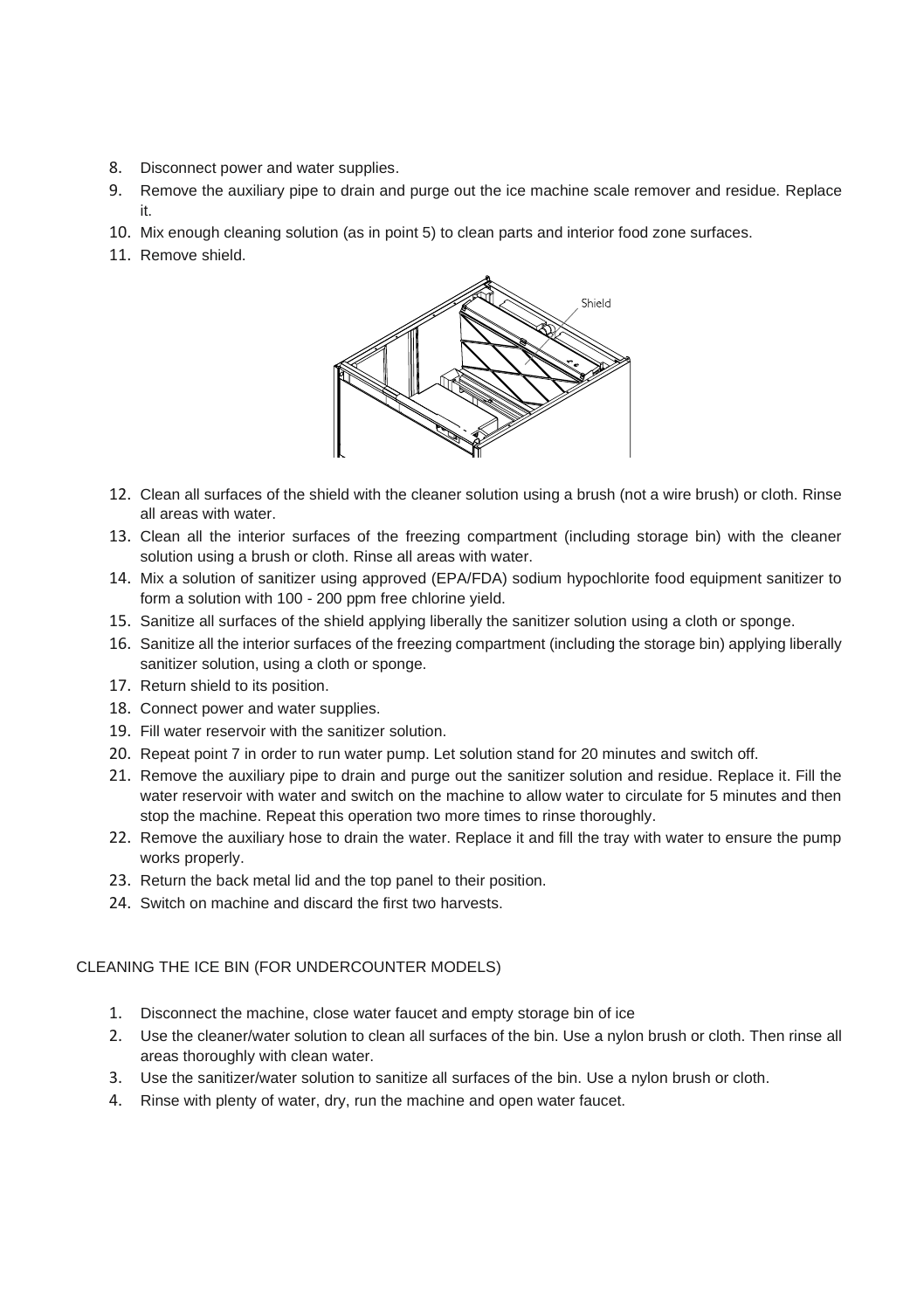- 8. Disconnect power and water supplies.
- 9. Remove the auxiliary pipe to drain and purge out the ice machine scale remover and residue. Replace it.
- 10. Mix enough cleaning solution (as in point 5) to clean parts and interior food zone surfaces.
- 11. Remove shield.



- 12. Clean all surfaces of the shield with the cleaner solution using a brush (not a wire brush) or cloth. Rinse all areas with water.
- 13. Clean all the interior surfaces of the freezing compartment (including storage bin) with the cleaner solution using a brush or cloth. Rinse all areas with water.
- 14. Mix a solution of sanitizer using approved (EPA/FDA) sodium hypochlorite food equipment sanitizer to form a solution with 100 - 200 ppm free chlorine yield.
- 15. Sanitize all surfaces of the shield applying liberally the sanitizer solution using a cloth or sponge.
- 16. Sanitize all the interior surfaces of the freezing compartment (including the storage bin) applying liberally sanitizer solution, using a cloth or sponge.
- 17. Return shield to its position.
- 18. Connect power and water supplies.
- 19. Fill water reservoir with the sanitizer solution.
- 20. Repeat point 7 in order to run water pump. Let solution stand for 20 minutes and switch off.
- 21. Remove the auxiliary pipe to drain and purge out the sanitizer solution and residue. Replace it. Fill the water reservoir with water and switch on the machine to allow water to circulate for 5 minutes and then stop the machine. Repeat this operation two more times to rinse thoroughly.
- 22. Remove the auxiliary hose to drain the water. Replace it and fill the tray with water to ensure the pump works properly.
- 23. Return the back metal lid and the top panel to their position.
- 24. Switch on machine and discard the first two harvests.

# CLEANING THE ICE BIN (FOR UNDERCOUNTER MODELS)

- 1. Disconnect the machine, close water faucet and empty storage bin of ice
- 2. Use the cleaner/water solution to clean all surfaces of the bin. Use a nylon brush or cloth. Then rinse all areas thoroughly with clean water.
- 3. Use the sanitizer/water solution to sanitize all surfaces of the bin. Use a nylon brush or cloth.
- 4. Rinse with plenty of water, dry, run the machine and open water faucet.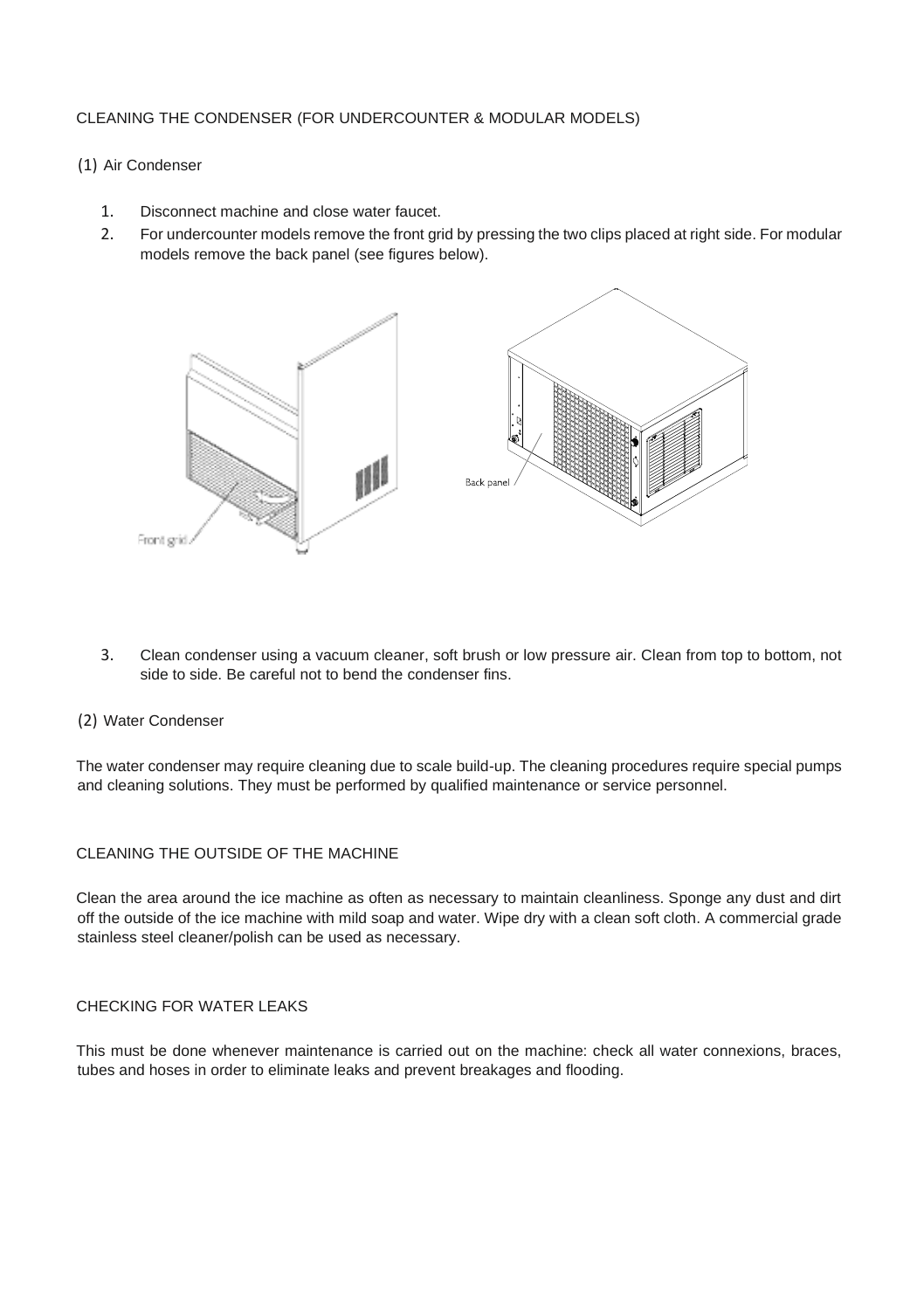## CLEANING THE CONDENSER (FOR UNDERCOUNTER & MODULAR MODELS)

### (1) Air Condenser

- 1. Disconnect machine and close water faucet.<br>2. Equipment managers remove the front or
- 2. For undercounter models remove the front grid by pressing the two clips placed at right side. For modular models remove the back panel (see figures below).



3. Clean condenser using a vacuum cleaner, soft brush or low pressure air. Clean from top to bottom, not side to side. Be careful not to bend the condenser fins.

#### (2) Water Condenser

The water condenser may require cleaning due to scale build-up. The cleaning procedures require special pumps and cleaning solutions. They must be performed by qualified maintenance or service personnel.

## CLEANING THE OUTSIDE OF THE MACHINE

Clean the area around the ice machine as often as necessary to maintain cleanliness. Sponge any dust and dirt off the outside of the ice machine with mild soap and water. Wipe dry with a clean soft cloth. A commercial grade stainless steel cleaner/polish can be used as necessary.

# CHECKING FOR WATER LEAKS

This must be done whenever maintenance is carried out on the machine: check all water connexions, braces, tubes and hoses in order to eliminate leaks and prevent breakages and flooding.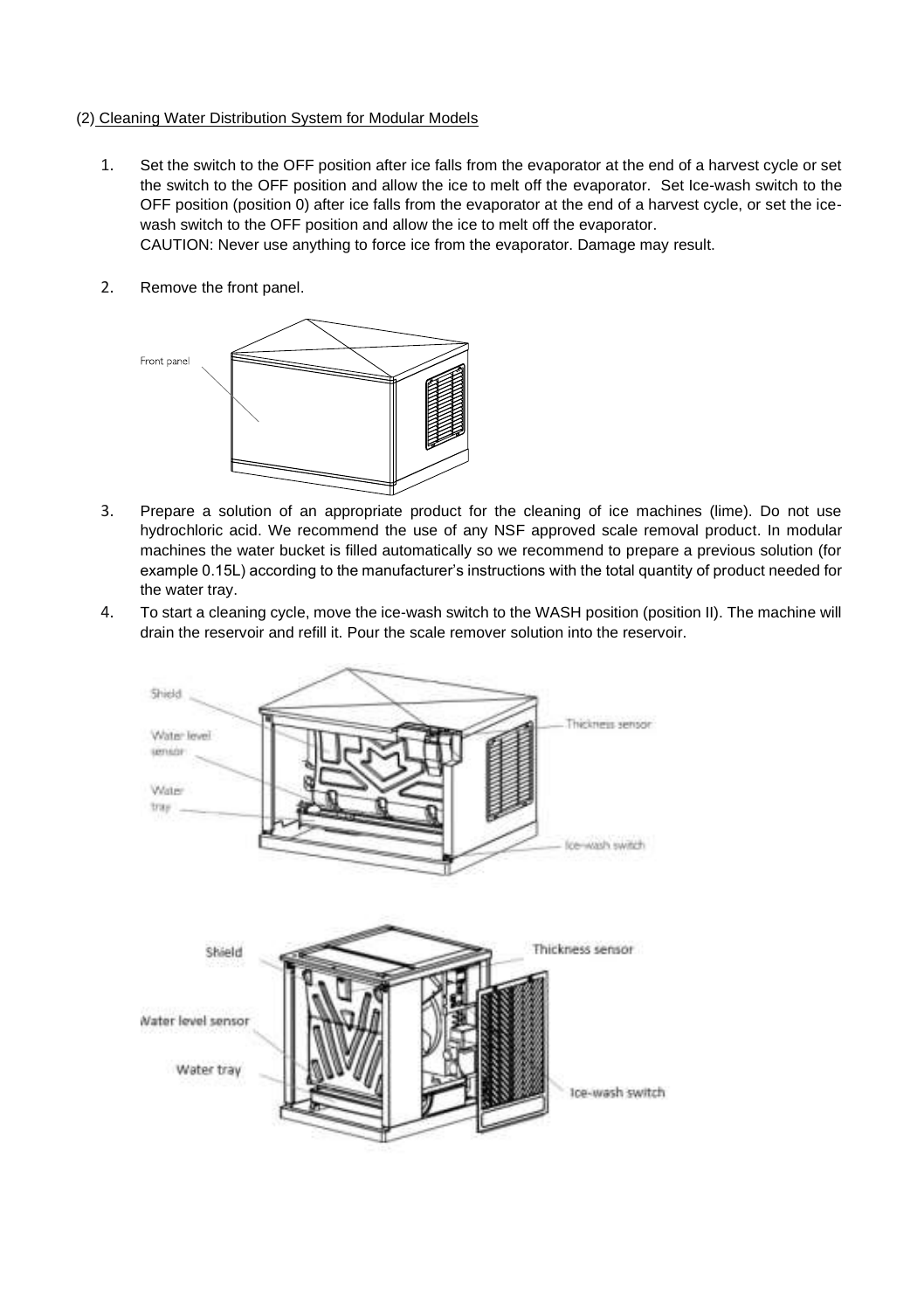## (2) Cleaning Water Distribution System for Modular Models

1. Set the switch to the OFF position after ice falls from the evaporator at the end of a harvest cycle or set the switch to the OFF position and allow the ice to melt off the evaporator. Set Ice-wash switch to the OFF position (position 0) after ice falls from the evaporator at the end of a harvest cycle, or set the icewash switch to the OFF position and allow the ice to melt off the evaporator.

CAUTION: Never use anything to force ice from the evaporator. Damage may result.

2. Remove the front panel.



- 3. Prepare a solution of an appropriate product for the cleaning of ice machines (lime). Do not use hydrochloric acid. We recommend the use of any NSF approved scale removal product. In modular machines the water bucket is filled automatically so we recommend to prepare a previous solution (for example 0.15L) according to the manufacturer's instructions with the total quantity of product needed for the water tray.
- 4. To start a cleaning cycle, move the ice-wash switch to the WASH position (position II). The machine will drain the reservoir and refill it. Pour the scale remover solution into the reservoir.

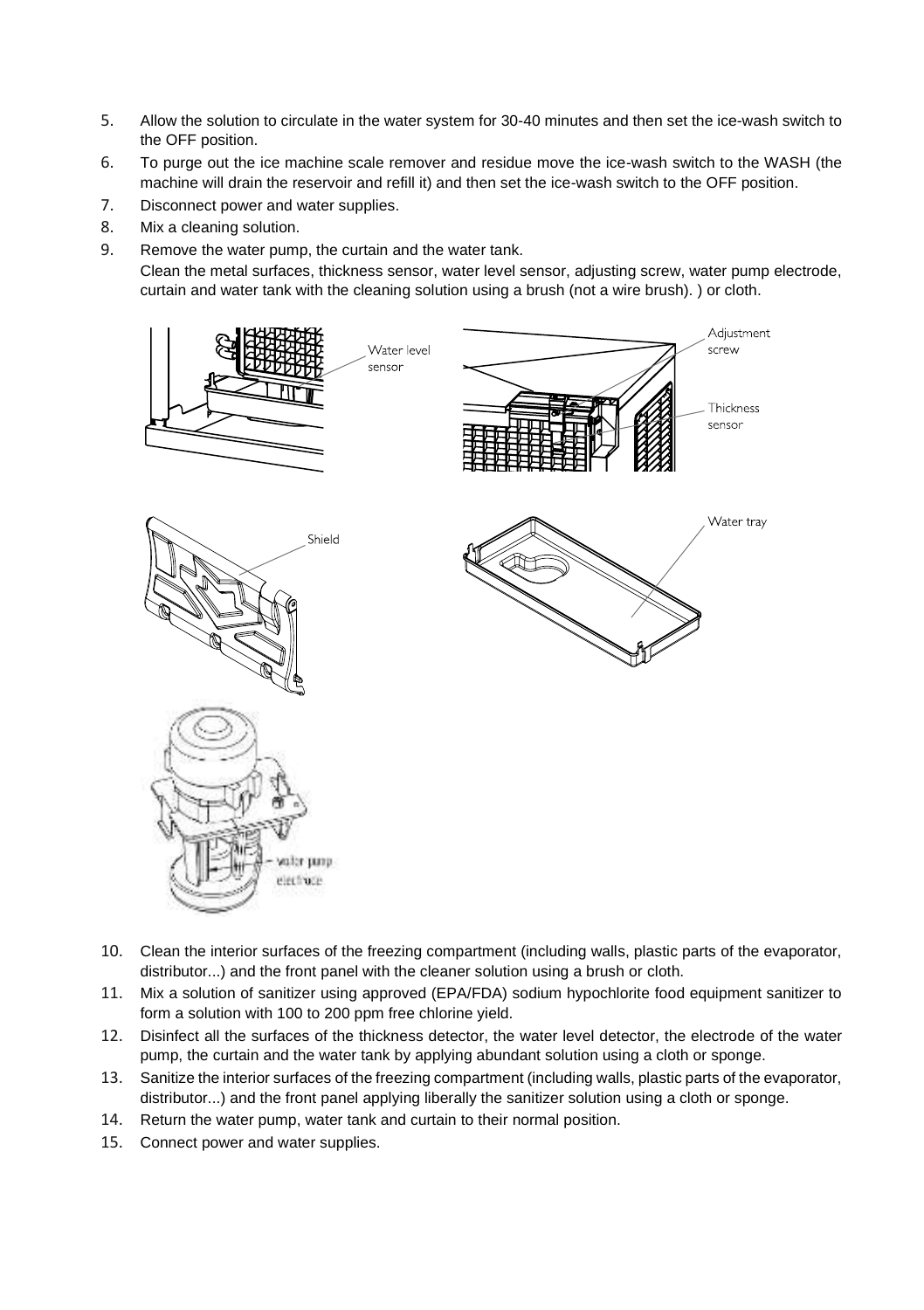- 5. Allow the solution to circulate in the water system for 30-40 minutes and then set the ice-wash switch to the OFF position.
- 6. To purge out the ice machine scale remover and residue move the ice-wash switch to the WASH (the machine will drain the reservoir and refill it) and then set the ice-wash switch to the OFF position.
- 7. Disconnect power and water supplies.
- 8. Mix a cleaning solution.
- 9. Remove the water pump, the curtain and the water tank.

Clean the metal surfaces, thickness sensor, water level sensor, adjusting screw, water pump electrode, curtain and water tank with the cleaning solution using a brush (not a wire brush). ) or cloth.



- 10. Clean the interior surfaces of the freezing compartment (including walls, plastic parts of the evaporator, distributor...) and the front panel with the cleaner solution using a brush or cloth.
- 11. Mix a solution of sanitizer using approved (EPA/FDA) sodium hypochlorite food equipment sanitizer to form a solution with 100 to 200 ppm free chlorine vield.
- 12. Disinfect all the surfaces of the thickness detector, the water level detector, the electrode of the water pump, the curtain and the water tank by applying abundant solution using a cloth or sponge.
- 13. Sanitize the interior surfaces of the freezing compartment (including walls, plastic parts of the evaporator, distributor...) and the front panel applying liberally the sanitizer solution using a cloth or sponge.
- 14. Return the water pump, water tank and curtain to their normal position.
- 15. Connect power and water supplies.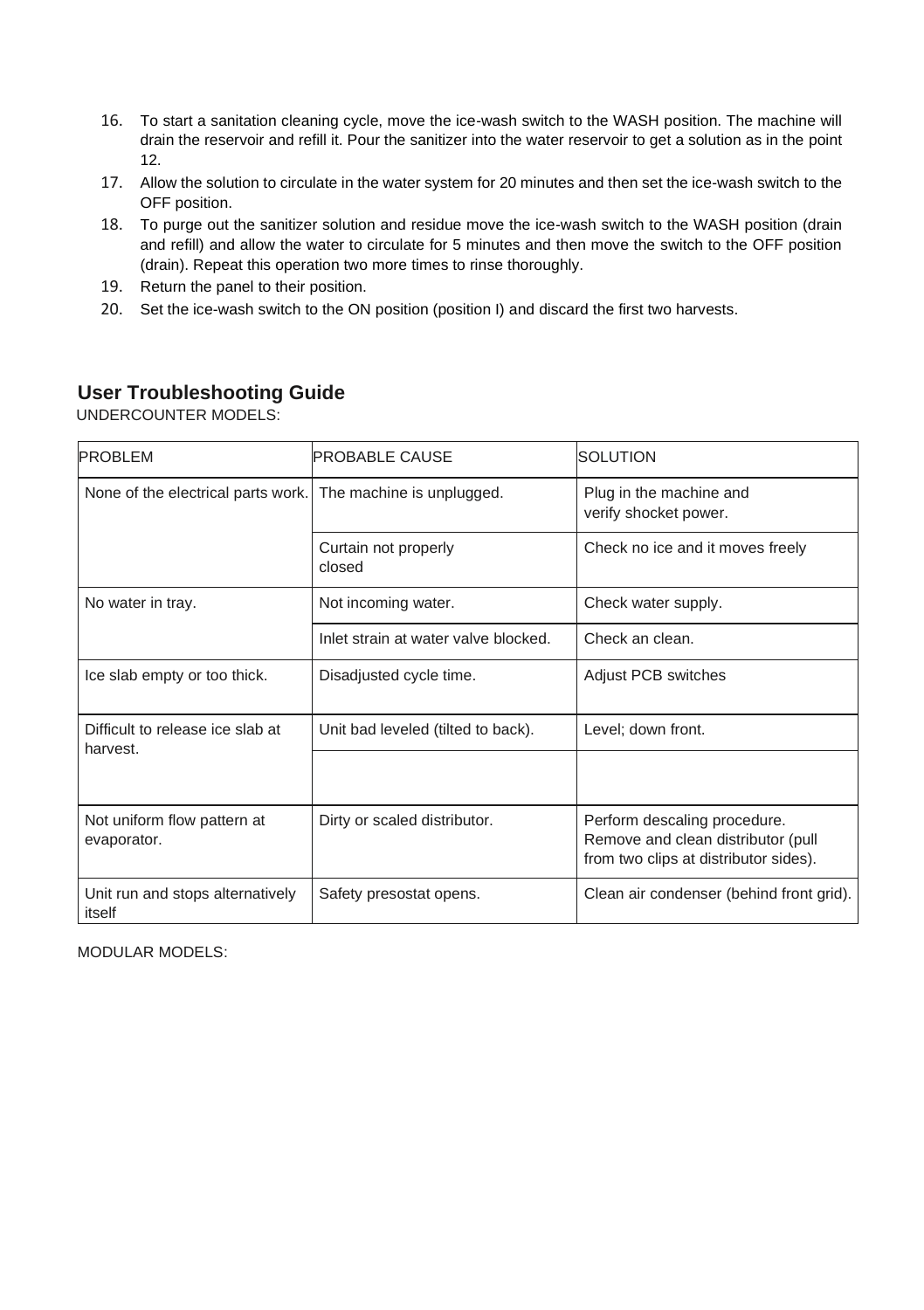- 16. To start a sanitation cleaning cycle, move the ice-wash switch to the WASH position. The machine will drain the reservoir and refill it. Pour the sanitizer into the water reservoir to get a solution as in the point 12.
- 17. Allow the solution to circulate in the water system for 20 minutes and then set the ice-wash switch to the OFF position.
- 18. To purge out the sanitizer solution and residue move the ice-wash switch to the WASH position (drain and refill) and allow the water to circulate for 5 minutes and then move the switch to the OFF position (drain). Repeat this operation two more times to rinse thoroughly.
- 19. Return the panel to their position.
- 20. Set the ice-wash switch to the ON position (position I) and discard the first two harvests.

# **User Troubleshooting Guide**

UNDERCOUNTER MODELS:

| <b>PROBLEM</b>                                               | <b>PROBABLE CAUSE</b>                | <b>SOLUTION</b>                                                                                             |
|--------------------------------------------------------------|--------------------------------------|-------------------------------------------------------------------------------------------------------------|
| None of the electrical parts work. The machine is unplugged. |                                      | Plug in the machine and<br>verify shocket power.                                                            |
|                                                              | Curtain not properly<br>closed       | Check no ice and it moves freely                                                                            |
| No water in tray.                                            | Not incoming water.                  | Check water supply.                                                                                         |
|                                                              | Inlet strain at water valve blocked. | Check an clean.                                                                                             |
| Ice slab empty or too thick.                                 | Disadjusted cycle time.              | Adjust PCB switches                                                                                         |
| Difficult to release ice slab at<br>harvest.                 | Unit bad leveled (tilted to back).   | Level; down front.                                                                                          |
|                                                              |                                      |                                                                                                             |
| Not uniform flow pattern at<br>evaporator.                   | Dirty or scaled distributor.         | Perform descaling procedure.<br>Remove and clean distributor (pull<br>from two clips at distributor sides). |
| Unit run and stops alternatively<br>itself                   | Safety presostat opens.              | Clean air condenser (behind front grid).                                                                    |

MODULAR MODELS: